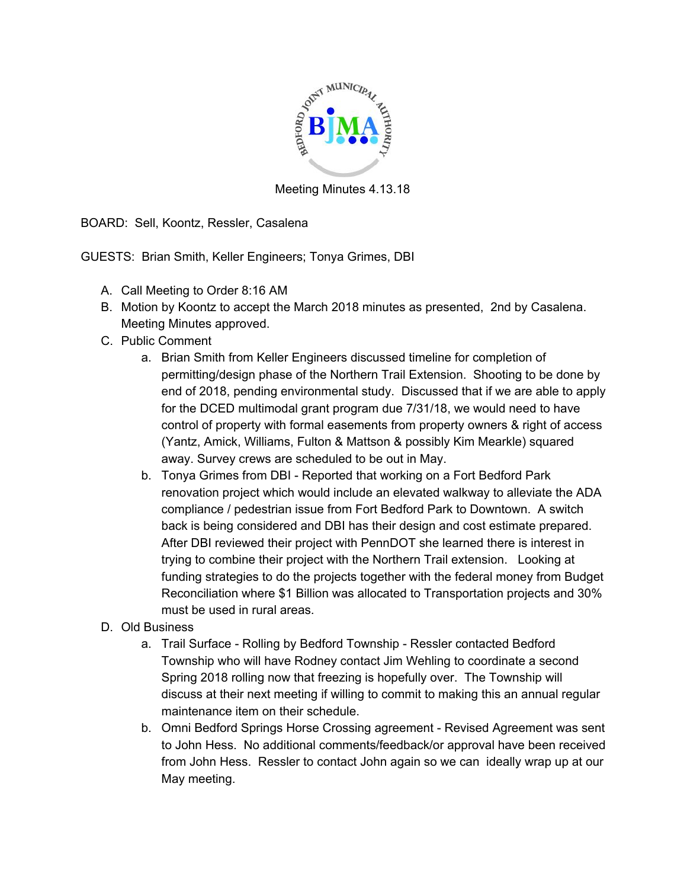

Meeting Minutes 4.13.18

BOARD: Sell, Koontz, Ressler, Casalena

GUESTS: Brian Smith, Keller Engineers; Tonya Grimes, DBI

- A. Call Meeting to Order 8:16 AM
- B. Motion by Koontz to accept the March 2018 minutes as presented, 2nd by Casalena. Meeting Minutes approved.
- C. Public Comment
	- a. Brian Smith from Keller Engineers discussed timeline for completion of permitting/design phase of the Northern Trail Extension. Shooting to be done by end of 2018, pending environmental study. Discussed that if we are able to apply for the DCED multimodal grant program due 7/31/18, we would need to have control of property with formal easements from property owners & right of access (Yantz, Amick, Williams, Fulton & Mattson & possibly Kim Mearkle) squared away. Survey crews are scheduled to be out in May.
	- b. Tonya Grimes from DBI Reported that working on a Fort Bedford Park renovation project which would include an elevated walkway to alleviate the ADA compliance / pedestrian issue from Fort Bedford Park to Downtown. A switch back is being considered and DBI has their design and cost estimate prepared. After DBI reviewed their project with PennDOT she learned there is interest in trying to combine their project with the Northern Trail extension. Looking at funding strategies to do the projects together with the federal money from Budget Reconciliation where \$1 Billion was allocated to Transportation projects and 30% must be used in rural areas.
- D. Old Business
	- a. Trail Surface Rolling by Bedford Township Ressler contacted Bedford Township who will have Rodney contact Jim Wehling to coordinate a second Spring 2018 rolling now that freezing is hopefully over. The Township will discuss at their next meeting if willing to commit to making this an annual regular maintenance item on their schedule.
	- b. Omni Bedford Springs Horse Crossing agreement Revised Agreement was sent to John Hess. No additional comments/feedback/or approval have been received from John Hess. Ressler to contact John again so we can ideally wrap up at our May meeting.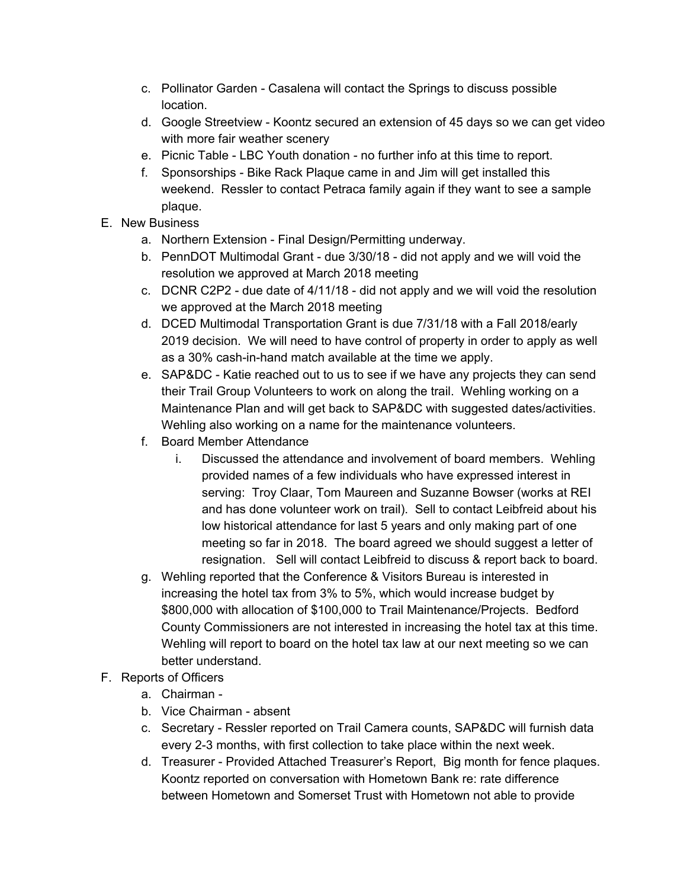- c. Pollinator Garden Casalena will contact the Springs to discuss possible location.
- d. Google Streetview Koontz secured an extension of 45 days so we can get video with more fair weather scenery
- e. Picnic Table LBC Youth donation no further info at this time to report.
- f. Sponsorships Bike Rack Plaque came in and Jim will get installed this weekend. Ressler to contact Petraca family again if they want to see a sample plaque.
- E. New Business
	- a. Northern Extension Final Design/Permitting underway.
	- b. PennDOT Multimodal Grant due 3/30/18 did not apply and we will void the resolution we approved at March 2018 meeting
	- c. DCNR C2P2 due date of 4/11/18 did not apply and we will void the resolution we approved at the March 2018 meeting
	- d. DCED Multimodal Transportation Grant is due 7/31/18 with a Fall 2018/early 2019 decision. We will need to have control of property in order to apply as well as a 30% cash-in-hand match available at the time we apply.
	- e. SAP&DC Katie reached out to us to see if we have any projects they can send their Trail Group Volunteers to work on along the trail. Wehling working on a Maintenance Plan and will get back to SAP&DC with suggested dates/activities. Wehling also working on a name for the maintenance volunteers.
	- f. Board Member Attendance
		- i. Discussed the attendance and involvement of board members. Wehling provided names of a few individuals who have expressed interest in serving: Troy Claar, Tom Maureen and Suzanne Bowser (works at REI and has done volunteer work on trail). Sell to contact Leibfreid about his low historical attendance for last 5 years and only making part of one meeting so far in 2018. The board agreed we should suggest a letter of resignation. Sell will contact Leibfreid to discuss & report back to board.
	- g. Wehling reported that the Conference & Visitors Bureau is interested in increasing the hotel tax from 3% to 5%, which would increase budget by \$800,000 with allocation of \$100,000 to Trail Maintenance/Projects. Bedford County Commissioners are not interested in increasing the hotel tax at this time. Wehling will report to board on the hotel tax law at our next meeting so we can better understand.
- F. Reports of Officers
	- a. Chairman -
	- b. Vice Chairman absent
	- c. Secretary Ressler reported on Trail Camera counts, SAP&DC will furnish data every 2-3 months, with first collection to take place within the next week.
	- d. Treasurer Provided Attached Treasurer's Report, Big month for fence plaques. Koontz reported on conversation with Hometown Bank re: rate difference between Hometown and Somerset Trust with Hometown not able to provide